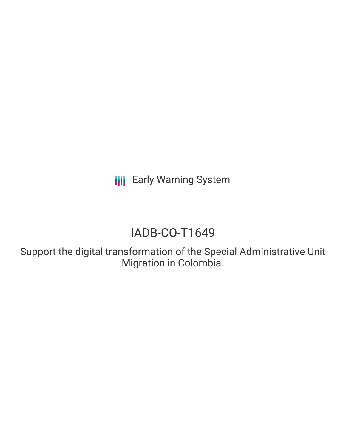**III** Early Warning System

# IADB-CO-T1649

Support the digital transformation of the Special Administrative Unit Migration in Colombia.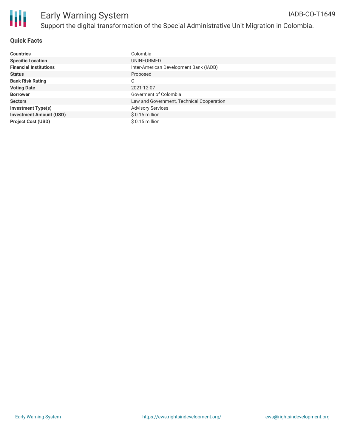

# **Quick Facts**

| <b>Countries</b>               | Colombia                                  |
|--------------------------------|-------------------------------------------|
| <b>Specific Location</b>       | UNINFORMED                                |
| <b>Financial Institutions</b>  | Inter-American Development Bank (IADB)    |
| <b>Status</b>                  | Proposed                                  |
| <b>Bank Risk Rating</b>        | C                                         |
| <b>Voting Date</b>             | 2021-12-07                                |
| <b>Borrower</b>                | Goverment of Colombia                     |
| <b>Sectors</b>                 | Law and Government, Technical Cooperation |
| <b>Investment Type(s)</b>      | <b>Advisory Services</b>                  |
| <b>Investment Amount (USD)</b> | $$0.15$ million                           |
| <b>Project Cost (USD)</b>      | $$0.15$ million                           |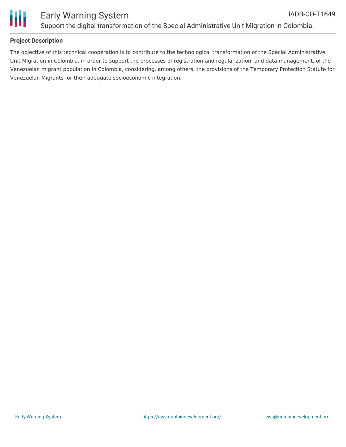

# **Project Description**

The objective of this technical cooperation is to contribute to the technological transformation of the Special Administrative Unit Migration in Colombia, in order to support the processes of registration and regularization, and data management, of the Venezuelan migrant population in Colombia, considering, among others, the provisions of the Temporary Protection Statute for Venezuelan Migrants for their adequate socioeconomic integration.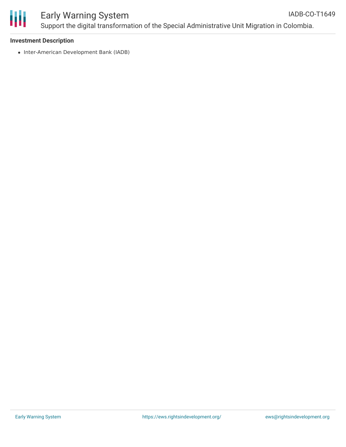

#### Early Warning System Support the digital transformation of the Special Administrative Unit Migration in Colombia. IADB-CO-T1649

## **Investment Description**

• Inter-American Development Bank (IADB)